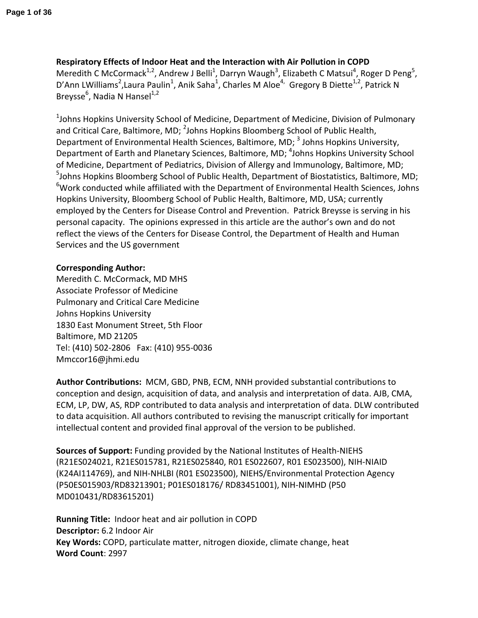**Respiratory Effects of Indoor Heat and the Interaction with Air Pollution in COPD** Meredith C McCormack<sup>1,2</sup>, Andrew J Belli<sup>1</sup>, Darryn Waugh<sup>3</sup>, Elizabeth C Matsui<sup>4</sup>, Roger D Peng<sup>5</sup>, D'Ann LWilliams<sup>2</sup>, Laura Paulin<sup>1</sup>, Anik Saha<sup>1</sup>, Charles M Aloe<sup>4,</sup> Gregory B Diette<sup>1,2</sup>, Patrick N Breysse<sup>6</sup>, Nadia N Hansel<sup>1,2</sup>

 $1$ Johns Hopkins University School of Medicine, Department of Medicine, Division of Pulmonary and Critical Care, Baltimore, MD; <sup>2</sup>Johns Hopkins Bloomberg School of Public Health, Department of Environmental Health Sciences, Baltimore, MD; <sup>3</sup> Johns Hopkins University, Department of Earth and Planetary Sciences, Baltimore, MD; <sup>4</sup>Johns Hopkins University School of Medicine, Department of Pediatrics, Division of Allergy and Immunology, Baltimore, MD; <sup>5</sup>Johns Hopkins Bloomberg School of Public Health, Department of Biostatistics, Baltimore, MD; <sup>6</sup>Work conducted while affiliated with the Department of Environmental Health Sciences, Johns Hopkins University, Bloomberg School of Public Health, Baltimore, MD, USA; currently employed by the Centers for Disease Control and Prevention. Patrick Breysse is serving in his personal capacity. The opinions expressed in this article are the author's own and do not reflect the views of the Centers for Disease Control, the Department of Health and Human Services and the US government

# **Corresponding Author:**

Meredith C. McCormack, MD MHS Associate Professor of Medicine Pulmonary and Critical Care Medicine Johns Hopkins University 1830 East Monument Street, 5th Floor Baltimore, MD 21205 Tel: (410) 502-2806 Fax: (410) 955-0036 Mmccor16@jhmi.edu

**Author Contributions:** MCM, GBD, PNB, ECM, NNH provided substantial contributions to conception and design, acquisition of data, and analysis and interpretation of data. AJB, CMA, ECM, LP, DW, AS, RDP contributed to data analysis and interpretation of data. DLW contributed to data acquisition. All authors contributed to revising the manuscript critically for important intellectual content and provided final approval of the version to be published.

**Sources of Support:** Funding provided by the National Institutes of Health-NIEHS (R21ES024021, R21ES015781, R21ES025840, R01 ES022607, R01 ES023500), NIH-NIAID (K24AI114769), and NIH-NHLBI (R01 ES023500), NIEHS/Environmental Protection Agency (P50ES015903/RD83213901; P01ES018176/ RD83451001), NIH-NIMHD (P50 MD010431/RD83615201)

**Running Title:** Indoor heat and air pollution in COPD **Descriptor:** 6.2 Indoor Air **Key Words:** COPD, particulate matter, nitrogen dioxide, climate change, heat **Word Count**: 2997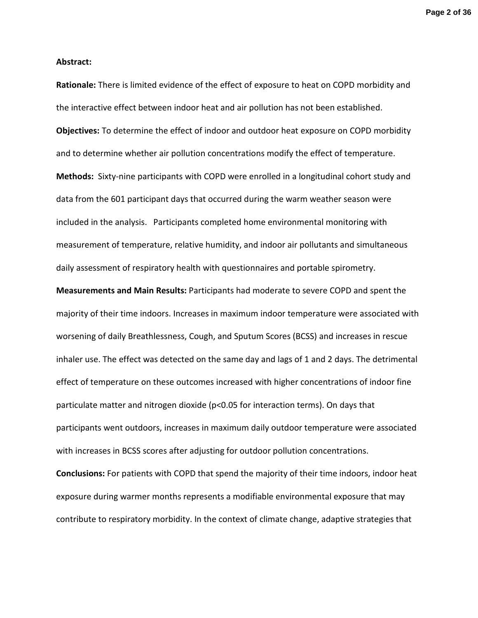**Page 2 of 36**

#### **Abstract:**

**Rationale:** There is limited evidence of the effect of exposure to heat on COPD morbidity and the interactive effect between indoor heat and air pollution has not been established. **Objectives:** To determine the effect of indoor and outdoor heat exposure on COPD morbidity and to determine whether air pollution concentrations modify the effect of temperature. **Methods:** Sixty-nine participants with COPD were enrolled in a longitudinal cohort study and data from the 601 participant days that occurred during the warm weather season were included in the analysis. Participants completed home environmental monitoring with measurement of temperature, relative humidity, and indoor air pollutants and simultaneous daily assessment of respiratory health with questionnaires and portable spirometry. **Measurements and Main Results:** Participants had moderate to severe COPD and spent the majority of their time indoors. Increases in maximum indoor temperature were associated with worsening of daily Breathlessness, Cough, and Sputum Scores (BCSS) and increases in rescue inhaler use. The effect was detected on the same day and lags of 1 and 2 days. The detrimental effect of temperature on these outcomes increased with higher concentrations of indoor fine particulate matter and nitrogen dioxide (p<0.05 for interaction terms). On days that participants went outdoors, increases in maximum daily outdoor temperature were associated with increases in BCSS scores after adjusting for outdoor pollution concentrations. **Conclusions:** For patients with COPD that spend the majority of their time indoors, indoor heat exposure during warmer months represents a modifiable environmental exposure that may contribute to respiratory morbidity. In the context of climate change, adaptive strategies that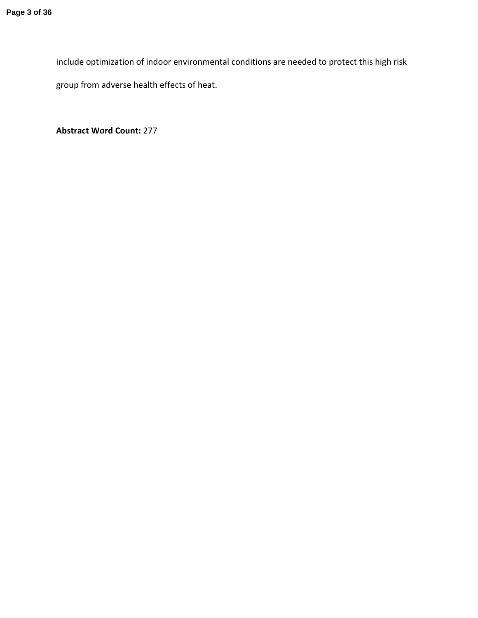include optimization of indoor environmental conditions are needed to protect this high risk group from adverse health effects of heat.

**Abstract Word Count:** 277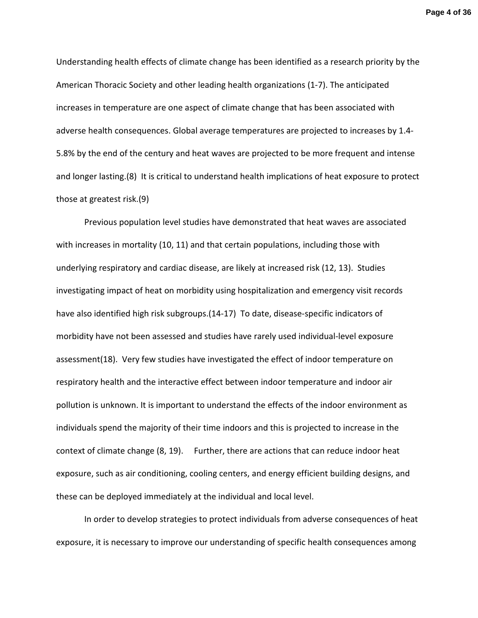Understanding health effects of climate change has been identified as a research priority by the American Thoracic Society and other leading health organizations (1-7). The anticipated increases in temperature are one aspect of climate change that has been associated with adverse health consequences. Global average temperatures are projected to increases by 1.4- 5.8% by the end of the century and heat waves are projected to be more frequent and intense and longer lasting.(8) It is critical to understand health implications of heat exposure to protect those at greatest risk.(9)

Previous population level studies have demonstrated that heat waves are associated with increases in mortality (10, 11) and that certain populations, including those with underlying respiratory and cardiac disease, are likely at increased risk (12, 13). Studies investigating impact of heat on morbidity using hospitalization and emergency visit records have also identified high risk subgroups.(14-17) To date, disease-specific indicators of morbidity have not been assessed and studies have rarely used individual-level exposure assessment(18). Very few studies have investigated the effect of indoor temperature on respiratory health and the interactive effect between indoor temperature and indoor air pollution is unknown. It is important to understand the effects of the indoor environment as individuals spend the majority of their time indoors and this is projected to increase in the context of climate change (8, 19). Further, there are actions that can reduce indoor heat exposure, such as air conditioning, cooling centers, and energy efficient building designs, and these can be deployed immediately at the individual and local level.

 In order to develop strategies to protect individuals from adverse consequences of heat exposure, it is necessary to improve our understanding of specific health consequences among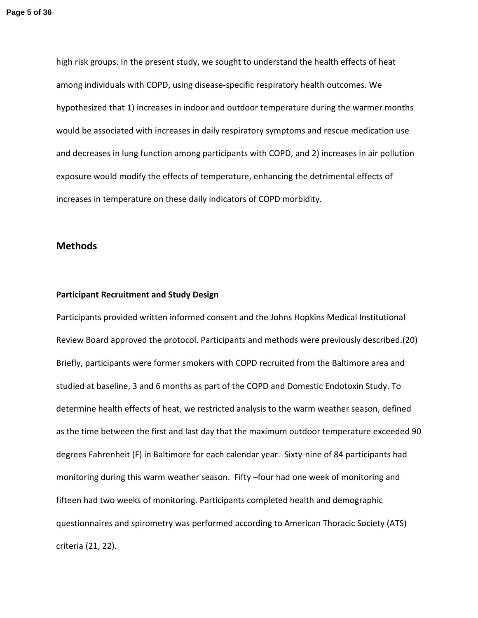high risk groups. In the present study, we sought to understand the health effects of heat among individuals with COPD, using disease-specific respiratory health outcomes. We hypothesized that 1) increases in indoor and outdoor temperature during the warmer months would be associated with increases in daily respiratory symptoms and rescue medication use and decreases in lung function among participants with COPD, and 2) increases in air pollution exposure would modify the effects of temperature, enhancing the detrimental effects of increases in temperature on these daily indicators of COPD morbidity.

# **Methods**

#### **Participant Recruitment and Study Design**

Participants provided written informed consent and the Johns Hopkins Medical Institutional Review Board approved the protocol. Participants and methods were previously described.(20) Briefly, participants were former smokers with COPD recruited from the Baltimore area and studied at baseline, 3 and 6 months as part of the COPD and Domestic Endotoxin Study. To determine health effects of heat, we restricted analysis to the warm weather season, defined as the time between the first and last day that the maximum outdoor temperature exceeded 90 degrees Fahrenheit (F) in Baltimore for each calendar year. Sixty-nine of 84 participants had monitoring during this warm weather season. Fifty –four had one week of monitoring and fifteen had two weeks of monitoring. Participants completed health and demographic questionnaires and spirometry was performed according to American Thoracic Society (ATS) criteria (21, 22).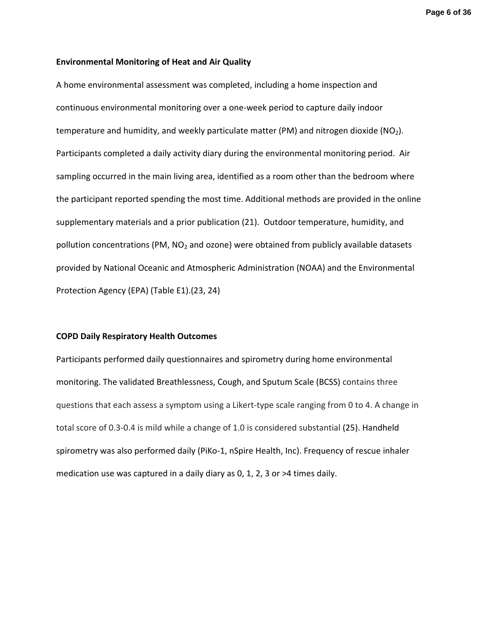**Page 6 of 36**

#### **Environmental Monitoring of Heat and Air Quality**

A home environmental assessment was completed, including a home inspection and continuous environmental monitoring over a one-week period to capture daily indoor temperature and humidity, and weekly particulate matter (PM) and nitrogen dioxide ( $NO<sub>2</sub>$ ). Participants completed a daily activity diary during the environmental monitoring period. Air sampling occurred in the main living area, identified as a room other than the bedroom where the participant reported spending the most time. Additional methods are provided in the online supplementary materials and a prior publication (21). Outdoor temperature, humidity, and pollution concentrations (PM,  $NO<sub>2</sub>$  and ozone) were obtained from publicly available datasets provided by National Oceanic and Atmospheric Administration (NOAA) and the Environmental Protection Agency (EPA) (Table E1).(23, 24)

#### **COPD Daily Respiratory Health Outcomes**

Participants performed daily questionnaires and spirometry during home environmental monitoring. The validated Breathlessness, Cough, and Sputum Scale (BCSS) contains three questions that each assess a symptom using a Likert-type scale ranging from 0 to 4. A change in total score of 0.3-0.4 is mild while a change of 1.0 is considered substantial (25). Handheld spirometry was also performed daily (PiKo-1, nSpire Health, Inc). Frequency of rescue inhaler medication use was captured in a daily diary as 0, 1, 2, 3 or >4 times daily.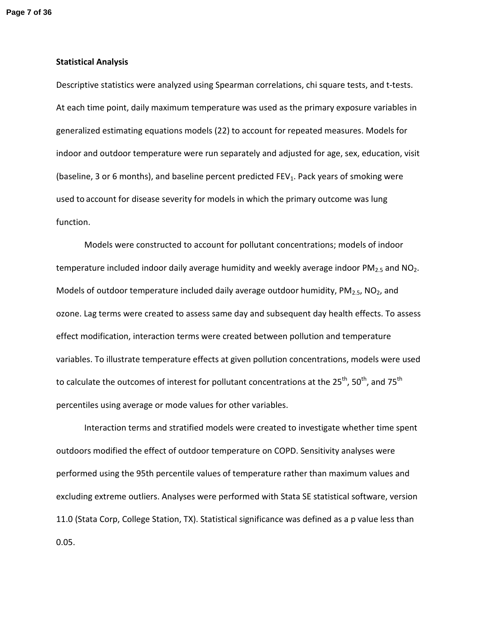#### **Statistical Analysis**

Descriptive statistics were analyzed using Spearman correlations, chi square tests, and t-tests. At each time point, daily maximum temperature was used as the primary exposure variables in generalized estimating equations models (22) to account for repeated measures. Models for indoor and outdoor temperature were run separately and adjusted for age, sex, education, visit (baseline, 3 or 6 months), and baseline percent predicted FEV<sub>1</sub>. Pack years of smoking were used to account for disease severity for models in which the primary outcome was lung function.

Models were constructed to account for pollutant concentrations; models of indoor temperature included indoor daily average humidity and weekly average indoor  $PM_{2.5}$  and  $NO<sub>2</sub>$ . Models of outdoor temperature included daily average outdoor humidity,  $PM_{2.5}$ , NO<sub>2</sub>, and ozone. Lag terms were created to assess same day and subsequent day health effects. To assess effect modification, interaction terms were created between pollution and temperature variables. To illustrate temperature effects at given pollution concentrations, models were used to calculate the outcomes of interest for pollutant concentrations at the  $25^{th}$ ,  $50^{th}$ , and  $75^{th}$ percentiles using average or mode values for other variables.

Interaction terms and stratified models were created to investigate whether time spent outdoors modified the effect of outdoor temperature on COPD. Sensitivity analyses were performed using the 95th percentile values of temperature rather than maximum values and excluding extreme outliers. Analyses were performed with Stata SE statistical software, version 11.0 (Stata Corp, College Station, TX). Statistical significance was defined as a p value less than 0.05.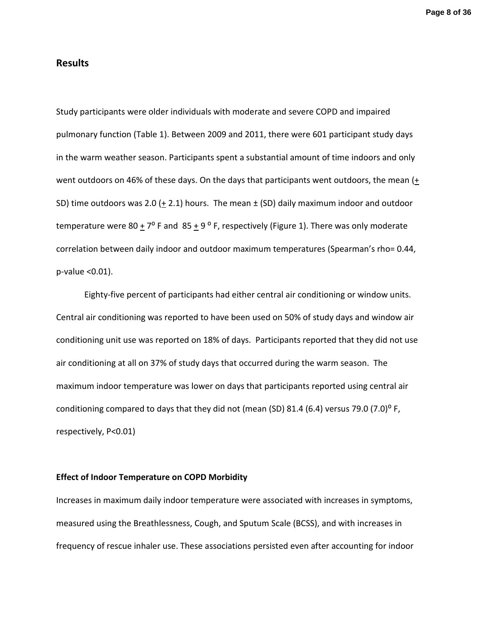# **Results**

Study participants were older individuals with moderate and severe COPD and impaired pulmonary function (Table 1). Between 2009 and 2011, there were 601 participant study days in the warm weather season. Participants spent a substantial amount of time indoors and only went outdoors on 46% of these days. On the days that participants went outdoors, the mean  $(+$ SD) time outdoors was 2.0 ( $\pm$  2.1) hours. The mean  $\pm$  (SD) daily maximum indoor and outdoor temperature were  $80 + 7^{\circ}$  F and  $85 + 9^{\circ}$  F, respectively (Figure 1). There was only moderate correlation between daily indoor and outdoor maximum temperatures (Spearman's rho= 0.44, p-value <0.01).

Eighty-five percent of participants had either central air conditioning or window units. Central air conditioning was reported to have been used on 50% of study days and window air conditioning unit use was reported on 18% of days. Participants reported that they did not use air conditioning at all on 37% of study days that occurred during the warm season. The maximum indoor temperature was lower on days that participants reported using central air conditioning compared to days that they did not (mean (SD) 81.4 (6.4) versus 79.0 (7.0)<sup>o</sup> F, respectively, P<0.01)

#### **Effect of Indoor Temperature on COPD Morbidity**

Increases in maximum daily indoor temperature were associated with increases in symptoms, measured using the Breathlessness, Cough, and Sputum Scale (BCSS), and with increases in frequency of rescue inhaler use. These associations persisted even after accounting for indoor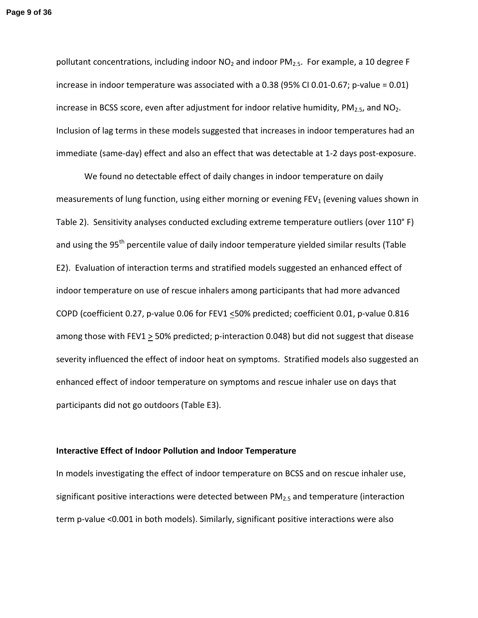pollutant concentrations, including indoor  $NO<sub>2</sub>$  and indoor  $PM<sub>2.5</sub>$ . For example, a 10 degree F increase in indoor temperature was associated with a 0.38 (95% CI 0.01-0.67; p-value = 0.01) increase in BCSS score, even after adjustment for indoor relative humidity,  $PM_{2.5}$ , and  $NO<sub>2</sub>$ . Inclusion of lag terms in these models suggested that increases in indoor temperatures had an immediate (same-day) effect and also an effect that was detectable at 1-2 days post-exposure.

We found no detectable effect of daily changes in indoor temperature on daily measurements of lung function, using either morning or evening  $FEV<sub>1</sub>$  (evening values shown in Table 2). Sensitivity analyses conducted excluding extreme temperature outliers (over 110° F) and using the 95<sup>th</sup> percentile value of daily indoor temperature yielded similar results (Table E2). Evaluation of interaction terms and stratified models suggested an enhanced effect of indoor temperature on use of rescue inhalers among participants that had more advanced COPD (coefficient 0.27, p-value 0.06 for FEV1 <50% predicted; coefficient 0.01, p-value 0.816 among those with FEV1  $\geq$  50% predicted; p-interaction 0.048) but did not suggest that disease severity influenced the effect of indoor heat on symptoms. Stratified models also suggested an enhanced effect of indoor temperature on symptoms and rescue inhaler use on days that participants did not go outdoors (Table E3).

## **Interactive Effect of Indoor Pollution and Indoor Temperature**

In models investigating the effect of indoor temperature on BCSS and on rescue inhaler use, significant positive interactions were detected between  $PM_{2.5}$  and temperature (interaction term p-value <0.001 in both models). Similarly, significant positive interactions were also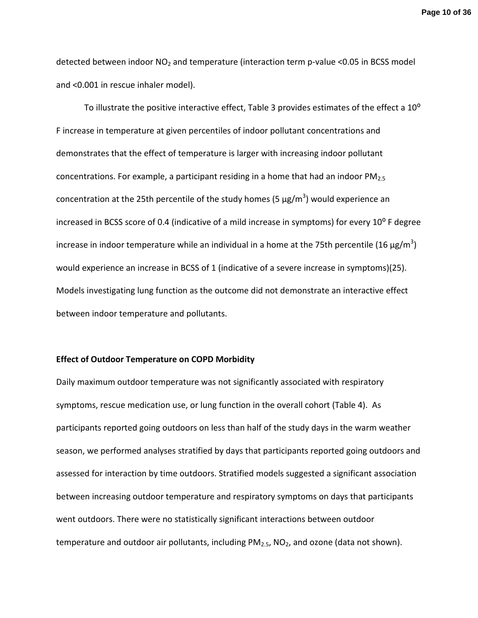**Page 10 of 36**

detected between indoor  $NO<sub>2</sub>$  and temperature (interaction term p-value <0.05 in BCSS model and <0.001 in rescue inhaler model).

To illustrate the positive interactive effect, Table 3 provides estimates of the effect a  $10^{\circ}$ F increase in temperature at given percentiles of indoor pollutant concentrations and demonstrates that the effect of temperature is larger with increasing indoor pollutant concentrations. For example, a participant residing in a home that had an indoor  $PM_{2.5}$ concentration at the 25th percentile of the study homes (5  $\mu$ g/m<sup>3</sup>) would experience an increased in BCSS score of 0.4 (indicative of a mild increase in symptoms) for every  $10^{\circ}$  F degree increase in indoor temperature while an individual in a home at the 75th percentile (16  $\mu$ g/m<sup>3</sup>) would experience an increase in BCSS of 1 (indicative of a severe increase in symptoms)(25). Models investigating lung function as the outcome did not demonstrate an interactive effect between indoor temperature and pollutants.

#### **Effect of Outdoor Temperature on COPD Morbidity**

Daily maximum outdoor temperature was not significantly associated with respiratory symptoms, rescue medication use, or lung function in the overall cohort (Table 4). As participants reported going outdoors on less than half of the study days in the warm weather season, we performed analyses stratified by days that participants reported going outdoors and assessed for interaction by time outdoors. Stratified models suggested a significant association between increasing outdoor temperature and respiratory symptoms on days that participants went outdoors. There were no statistically significant interactions between outdoor temperature and outdoor air pollutants, including  $PM_{2.5}$ ,  $NO<sub>2</sub>$ , and ozone (data not shown).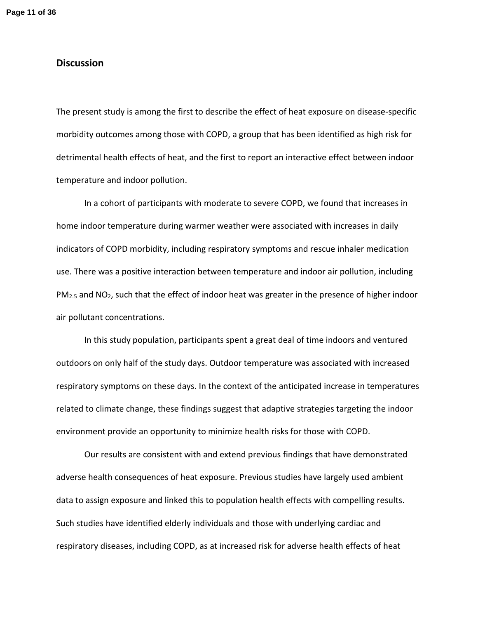# **Discussion**

The present study is among the first to describe the effect of heat exposure on disease-specific morbidity outcomes among those with COPD, a group that has been identified as high risk for detrimental health effects of heat, and the first to report an interactive effect between indoor temperature and indoor pollution.

In a cohort of participants with moderate to severe COPD, we found that increases in home indoor temperature during warmer weather were associated with increases in daily indicators of COPD morbidity, including respiratory symptoms and rescue inhaler medication use. There was a positive interaction between temperature and indoor air pollution, including  $PM<sub>2.5</sub>$  and NO<sub>2</sub>, such that the effect of indoor heat was greater in the presence of higher indoor air pollutant concentrations.

In this study population, participants spent a great deal of time indoors and ventured outdoors on only half of the study days. Outdoor temperature was associated with increased respiratory symptoms on these days. In the context of the anticipated increase in temperatures related to climate change, these findings suggest that adaptive strategies targeting the indoor environment provide an opportunity to minimize health risks for those with COPD.

Our results are consistent with and extend previous findings that have demonstrated adverse health consequences of heat exposure. Previous studies have largely used ambient data to assign exposure and linked this to population health effects with compelling results. Such studies have identified elderly individuals and those with underlying cardiac and respiratory diseases, including COPD, as at increased risk for adverse health effects of heat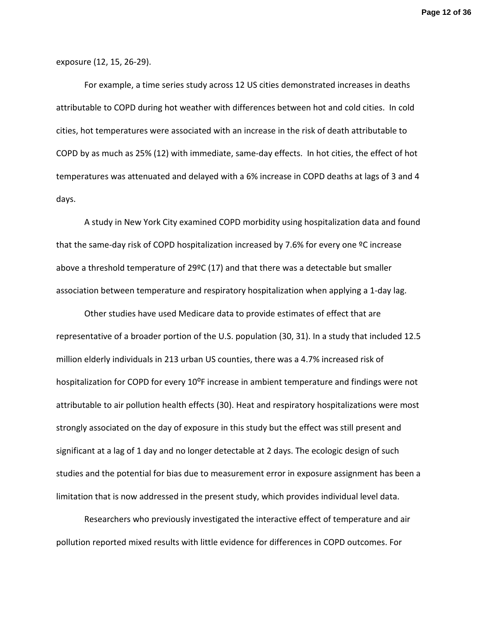exposure (12, 15, 26-29).

For example, a time series study across 12 US cities demonstrated increases in deaths attributable to COPD during hot weather with differences between hot and cold cities. In cold cities, hot temperatures were associated with an increase in the risk of death attributable to COPD by as much as 25% (12) with immediate, same-day effects. In hot cities, the effect of hot temperatures was attenuated and delayed with a 6% increase in COPD deaths at lags of 3 and 4 days.

A study in New York City examined COPD morbidity using hospitalization data and found that the same-day risk of COPD hospitalization increased by 7.6% for every one ºC increase above a threshold temperature of 29ºC (17) and that there was a detectable but smaller association between temperature and respiratory hospitalization when applying a 1-day lag.

Other studies have used Medicare data to provide estimates of effect that are representative of a broader portion of the U.S. population (30, 31). In a study that included 12.5 million elderly individuals in 213 urban US counties, there was a 4.7% increased risk of hospitalization for COPD for every 10<sup>o</sup>F increase in ambient temperature and findings were not attributable to air pollution health effects (30). Heat and respiratory hospitalizations were most strongly associated on the day of exposure in this study but the effect was still present and significant at a lag of 1 day and no longer detectable at 2 days. The ecologic design of such studies and the potential for bias due to measurement error in exposure assignment has been a limitation that is now addressed in the present study, which provides individual level data.

Researchers who previously investigated the interactive effect of temperature and air pollution reported mixed results with little evidence for differences in COPD outcomes. For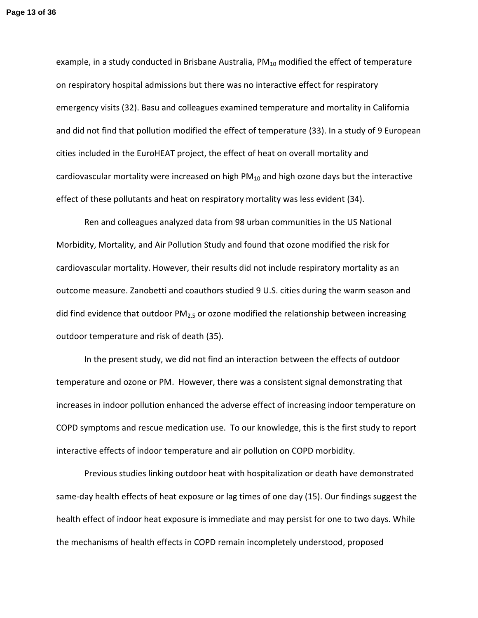example, in a study conducted in Brisbane Australia,  $PM_{10}$  modified the effect of temperature on respiratory hospital admissions but there was no interactive effect for respiratory emergency visits (32). Basu and colleagues examined temperature and mortality in California and did not find that pollution modified the effect of temperature (33). In a study of 9 European cities included in the EuroHEAT project, the effect of heat on overall mortality and cardiovascular mortality were increased on high  $PM_{10}$  and high ozone days but the interactive effect of these pollutants and heat on respiratory mortality was less evident (34).

Ren and colleagues analyzed data from 98 urban communities in the US National Morbidity, Mortality, and Air Pollution Study and found that ozone modified the risk for cardiovascular mortality. However, their results did not include respiratory mortality as an outcome measure. Zanobetti and coauthors studied 9 U.S. cities during the warm season and did find evidence that outdoor  $PM<sub>2.5</sub>$  or ozone modified the relationship between increasing outdoor temperature and risk of death (35).

In the present study, we did not find an interaction between the effects of outdoor temperature and ozone or PM. However, there was a consistent signal demonstrating that increases in indoor pollution enhanced the adverse effect of increasing indoor temperature on COPD symptoms and rescue medication use. To our knowledge, this is the first study to report interactive effects of indoor temperature and air pollution on COPD morbidity.

Previous studies linking outdoor heat with hospitalization or death have demonstrated same-day health effects of heat exposure or lag times of one day (15). Our findings suggest the health effect of indoor heat exposure is immediate and may persist for one to two days. While the mechanisms of health effects in COPD remain incompletely understood, proposed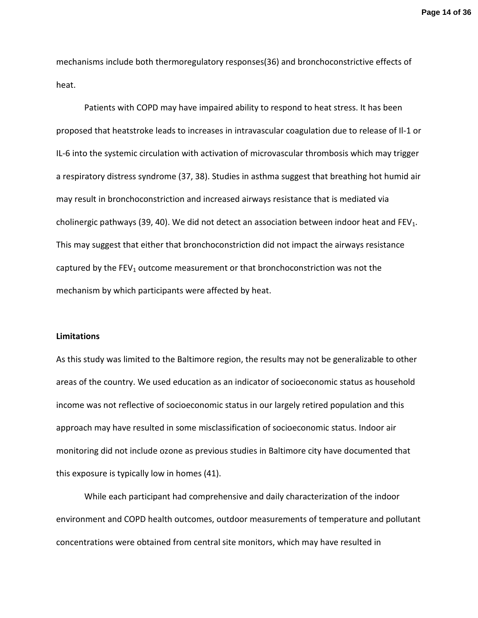**Page 14 of 36**

mechanisms include both thermoregulatory responses(36) and bronchoconstrictive effects of heat.

Patients with COPD may have impaired ability to respond to heat stress. It has been proposed that heatstroke leads to increases in intravascular coagulation due to release of Il-1 or IL-6 into the systemic circulation with activation of microvascular thrombosis which may trigger a respiratory distress syndrome (37, 38). Studies in asthma suggest that breathing hot humid air may result in bronchoconstriction and increased airways resistance that is mediated via cholinergic pathways (39, 40). We did not detect an association between indoor heat and FEV<sub>1</sub>. This may suggest that either that bronchoconstriction did not impact the airways resistance captured by the  $FEV<sub>1</sub>$  outcome measurement or that bronchoconstriction was not the mechanism by which participants were affected by heat.

### **Limitations**

As this study was limited to the Baltimore region, the results may not be generalizable to other areas of the country. We used education as an indicator of socioeconomic status as household income was not reflective of socioeconomic status in our largely retired population and this approach may have resulted in some misclassification of socioeconomic status. Indoor air monitoring did not include ozone as previous studies in Baltimore city have documented that this exposure is typically low in homes (41).

While each participant had comprehensive and daily characterization of the indoor environment and COPD health outcomes, outdoor measurements of temperature and pollutant concentrations were obtained from central site monitors, which may have resulted in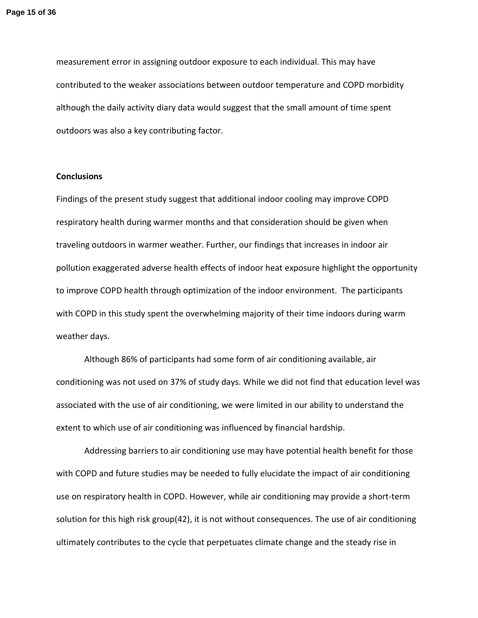measurement error in assigning outdoor exposure to each individual. This may have contributed to the weaker associations between outdoor temperature and COPD morbidity although the daily activity diary data would suggest that the small amount of time spent outdoors was also a key contributing factor.

#### **Conclusions**

Findings of the present study suggest that additional indoor cooling may improve COPD respiratory health during warmer months and that consideration should be given when traveling outdoors in warmer weather. Further, our findings that increases in indoor air pollution exaggerated adverse health effects of indoor heat exposure highlight the opportunity to improve COPD health through optimization of the indoor environment. The participants with COPD in this study spent the overwhelming majority of their time indoors during warm weather days.

Although 86% of participants had some form of air conditioning available, air conditioning was not used on 37% of study days. While we did not find that education level was associated with the use of air conditioning, we were limited in our ability to understand the extent to which use of air conditioning was influenced by financial hardship.

Addressing barriers to air conditioning use may have potential health benefit for those with COPD and future studies may be needed to fully elucidate the impact of air conditioning use on respiratory health in COPD. However, while air conditioning may provide a short-term solution for this high risk group(42), it is not without consequences. The use of air conditioning ultimately contributes to the cycle that perpetuates climate change and the steady rise in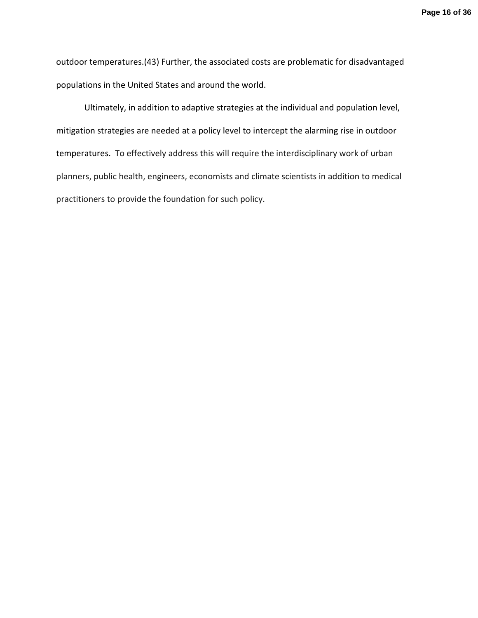outdoor temperatures.(43) Further, the associated costs are problematic for disadvantaged populations in the United States and around the world.

Ultimately, in addition to adaptive strategies at the individual and population level, mitigation strategies are needed at a policy level to intercept the alarming rise in outdoor temperatures. To effectively address this will require the interdisciplinary work of urban planners, public health, engineers, economists and climate scientists in addition to medical practitioners to provide the foundation for such policy.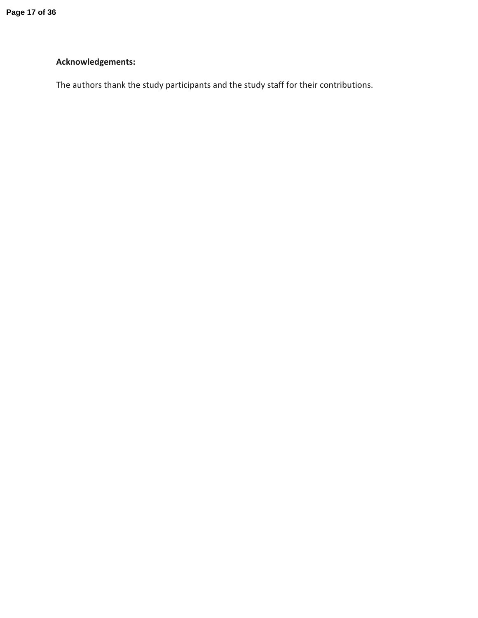# **Acknowledgements:**

The authors thank the study participants and the study staff for their contributions.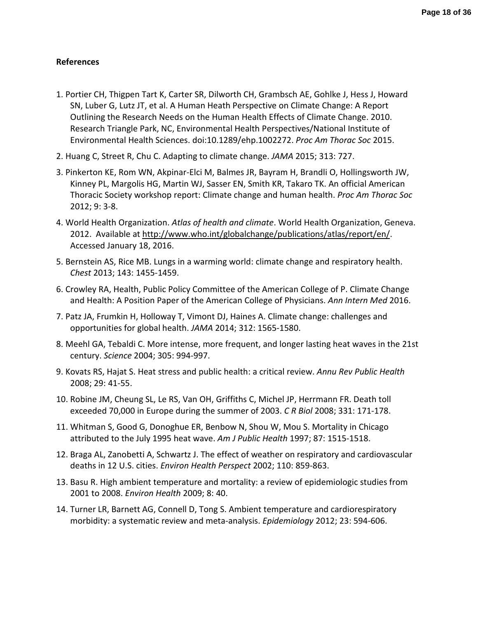# **References**

- 1. Portier CH, Thigpen Tart K, Carter SR, Dilworth CH, Grambsch AE, Gohlke J, Hess J, Howard SN, Luber G, Lutz JT, et al. A Human Heath Perspective on Climate Change: A Report Outlining the Research Needs on the Human Health Effects of Climate Change. 2010. Research Triangle Park, NC, Environmental Health Perspectives/National Institute of Environmental Health Sciences. doi:10.1289/ehp.1002272. *Proc Am Thorac Soc* 2015.
- 2. Huang C, Street R, Chu C. Adapting to climate change. *JAMA* 2015; 313: 727.
- 3. Pinkerton KE, Rom WN, Akpinar-Elci M, Balmes JR, Bayram H, Brandli O, Hollingsworth JW, Kinney PL, Margolis HG, Martin WJ, Sasser EN, Smith KR, Takaro TK. An official American Thoracic Society workshop report: Climate change and human health. *Proc Am Thorac Soc*  2012; 9: 3-8.
- 4. World Health Organization. *Atlas of health and climate*. World Health Organization, Geneva. 2012. Available at http://www.who.int/globalchange/publications/atlas/report/en/. Accessed January 18, 2016.
- 5. Bernstein AS, Rice MB. Lungs in a warming world: climate change and respiratory health. *Chest* 2013; 143: 1455-1459.
- 6. Crowley RA, Health, Public Policy Committee of the American College of P. Climate Change and Health: A Position Paper of the American College of Physicians. *Ann Intern Med* 2016.
- 7. Patz JA, Frumkin H, Holloway T, Vimont DJ, Haines A. Climate change: challenges and opportunities for global health. *JAMA* 2014; 312: 1565-1580.
- 8. Meehl GA, Tebaldi C. More intense, more frequent, and longer lasting heat waves in the 21st century. *Science* 2004; 305: 994-997.
- 9. Kovats RS, Hajat S. Heat stress and public health: a critical review. *Annu Rev Public Health*  2008; 29: 41-55.
- 10. Robine JM, Cheung SL, Le RS, Van OH, Griffiths C, Michel JP, Herrmann FR. Death toll exceeded 70,000 in Europe during the summer of 2003. *C R Biol* 2008; 331: 171-178.
- 11. Whitman S, Good G, Donoghue ER, Benbow N, Shou W, Mou S. Mortality in Chicago attributed to the July 1995 heat wave. *Am J Public Health* 1997; 87: 1515-1518.
- 12. Braga AL, Zanobetti A, Schwartz J. The effect of weather on respiratory and cardiovascular deaths in 12 U.S. cities. *Environ Health Perspect* 2002; 110: 859-863.
- 13. Basu R. High ambient temperature and mortality: a review of epidemiologic studies from 2001 to 2008. *Environ Health* 2009; 8: 40.
- 14. Turner LR, Barnett AG, Connell D, Tong S. Ambient temperature and cardiorespiratory morbidity: a systematic review and meta-analysis. *Epidemiology* 2012; 23: 594-606.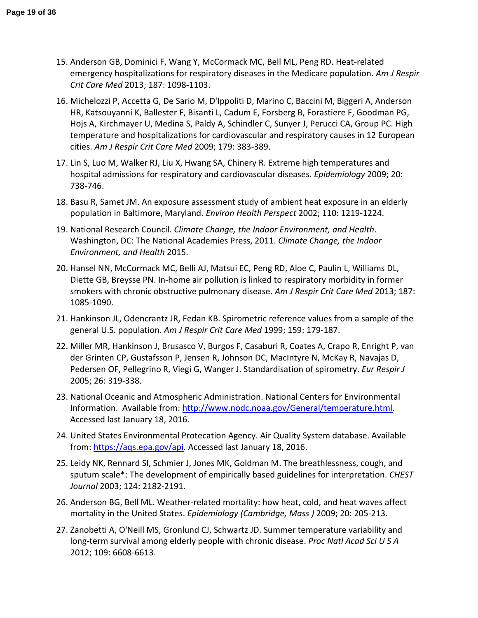- 15. Anderson GB, Dominici F, Wang Y, McCormack MC, Bell ML, Peng RD. Heat-related emergency hospitalizations for respiratory diseases in the Medicare population. *Am J Respir Crit Care Med* 2013; 187: 1098-1103.
- 16. Michelozzi P, Accetta G, De Sario M, D'Ippoliti D, Marino C, Baccini M, Biggeri A, Anderson HR, Katsouyanni K, Ballester F, Bisanti L, Cadum E, Forsberg B, Forastiere F, Goodman PG, Hojs A, Kirchmayer U, Medina S, Paldy A, Schindler C, Sunyer J, Perucci CA, Group PC. High temperature and hospitalizations for cardiovascular and respiratory causes in 12 European cities. *Am J Respir Crit Care Med* 2009; 179: 383-389.
- 17. Lin S, Luo M, Walker RJ, Liu X, Hwang SA, Chinery R. Extreme high temperatures and hospital admissions for respiratory and cardiovascular diseases. *Epidemiology* 2009; 20: 738-746.
- 18. Basu R, Samet JM. An exposure assessment study of ambient heat exposure in an elderly population in Baltimore, Maryland. *Environ Health Perspect* 2002; 110: 1219-1224.
- 19. National Research Council. *Climate Change, the Indoor Environment, and Health*. Washington, DC: The National Academies Press, 2011. *Climate Change, the Indoor Environment, and Health* 2015.
- 20. Hansel NN, McCormack MC, Belli AJ, Matsui EC, Peng RD, Aloe C, Paulin L, Williams DL, Diette GB, Breysse PN. In-home air pollution is linked to respiratory morbidity in former smokers with chronic obstructive pulmonary disease. *Am J Respir Crit Care Med* 2013; 187: 1085-1090.
- 21. Hankinson JL, Odencrantz JR, Fedan KB. Spirometric reference values from a sample of the general U.S. population. *Am J Respir Crit Care Med* 1999; 159: 179-187.
- 22. Miller MR, Hankinson J, Brusasco V, Burgos F, Casaburi R, Coates A, Crapo R, Enright P, van der Grinten CP, Gustafsson P, Jensen R, Johnson DC, MacIntyre N, McKay R, Navajas D, Pedersen OF, Pellegrino R, Viegi G, Wanger J. Standardisation of spirometry. *Eur Respir J*  2005; 26: 319-338.
- 23. National Oceanic and Atmospheric Administration. National Centers for Environmental Information. Available from: http://www.nodc.noaa.gov/General/temperature.html. Accessed last January 18, 2016.
- 24. United States Environmental Protecation Agency. Air Quality System database. Available from: https://aqs.epa.gov/api. Accessed last January 18, 2016.
- 25. Leidy NK, Rennard SI, Schmier J, Jones MK, Goldman M. The breathlessness, cough, and sputum scale\*: The development of empirically based guidelines for interpretation. *CHEST Journal* 2003; 124: 2182-2191.
- 26. Anderson BG, Bell ML. Weather-related mortality: how heat, cold, and heat waves affect mortality in the United States. *Epidemiology (Cambridge, Mass )* 2009; 20: 205-213.
- 27. Zanobetti A, O'Neill MS, Gronlund CJ, Schwartz JD. Summer temperature variability and long-term survival among elderly people with chronic disease. *Proc Natl Acad Sci U S A*  2012; 109: 6608-6613.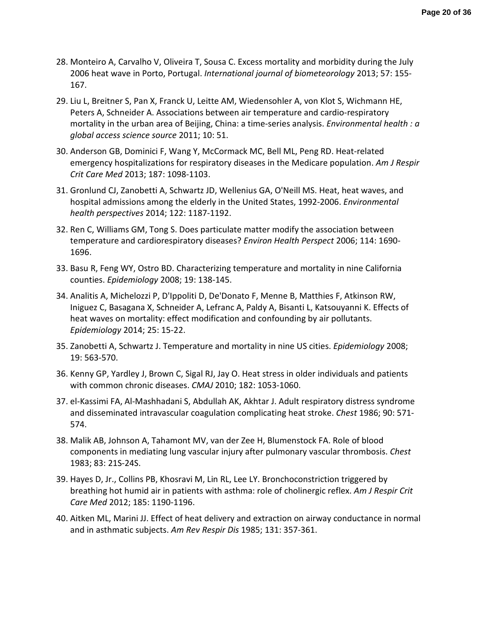- 28. Monteiro A, Carvalho V, Oliveira T, Sousa C. Excess mortality and morbidity during the July 2006 heat wave in Porto, Portugal. *International journal of biometeorology* 2013; 57: 155- 167.
- 29. Liu L, Breitner S, Pan X, Franck U, Leitte AM, Wiedensohler A, von Klot S, Wichmann HE, Peters A, Schneider A. Associations between air temperature and cardio-respiratory mortality in the urban area of Beijing, China: a time-series analysis. *Environmental health : a global access science source* 2011; 10: 51.
- 30. Anderson GB, Dominici F, Wang Y, McCormack MC, Bell ML, Peng RD. Heat-related emergency hospitalizations for respiratory diseases in the Medicare population. *Am J Respir Crit Care Med* 2013; 187: 1098-1103.
- 31. Gronlund CJ, Zanobetti A, Schwartz JD, Wellenius GA, O'Neill MS. Heat, heat waves, and hospital admissions among the elderly in the United States, 1992-2006. *Environmental health perspectives* 2014; 122: 1187-1192.
- 32. Ren C, Williams GM, Tong S. Does particulate matter modify the association between temperature and cardiorespiratory diseases? *Environ Health Perspect* 2006; 114: 1690- 1696.
- 33. Basu R, Feng WY, Ostro BD. Characterizing temperature and mortality in nine California counties. *Epidemiology* 2008; 19: 138-145.
- 34. Analitis A, Michelozzi P, D'Ippoliti D, De'Donato F, Menne B, Matthies F, Atkinson RW, Iniguez C, Basagana X, Schneider A, Lefranc A, Paldy A, Bisanti L, Katsouyanni K. Effects of heat waves on mortality: effect modification and confounding by air pollutants. *Epidemiology* 2014; 25: 15-22.
- 35. Zanobetti A, Schwartz J. Temperature and mortality in nine US cities. *Epidemiology* 2008; 19: 563-570.
- 36. Kenny GP, Yardley J, Brown C, Sigal RJ, Jay O. Heat stress in older individuals and patients with common chronic diseases. *CMAJ* 2010; 182: 1053-1060.
- 37. el-Kassimi FA, Al-Mashhadani S, Abdullah AK, Akhtar J. Adult respiratory distress syndrome and disseminated intravascular coagulation complicating heat stroke. *Chest* 1986; 90: 571- 574.
- 38. Malik AB, Johnson A, Tahamont MV, van der Zee H, Blumenstock FA. Role of blood components in mediating lung vascular injury after pulmonary vascular thrombosis. *Chest*  1983; 83: 21S-24S.
- 39. Hayes D, Jr., Collins PB, Khosravi M, Lin RL, Lee LY. Bronchoconstriction triggered by breathing hot humid air in patients with asthma: role of cholinergic reflex. *Am J Respir Crit Care Med* 2012; 185: 1190-1196.
- 40. Aitken ML, Marini JJ. Effect of heat delivery and extraction on airway conductance in normal and in asthmatic subjects. *Am Rev Respir Dis* 1985; 131: 357-361.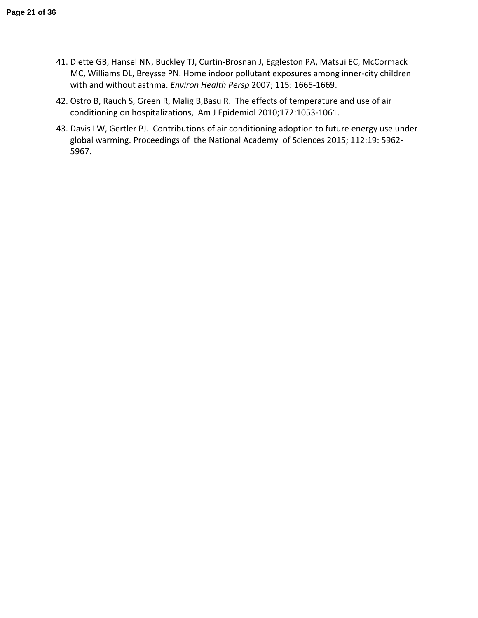- 41. Diette GB, Hansel NN, Buckley TJ, Curtin-Brosnan J, Eggleston PA, Matsui EC, McCormack MC, Williams DL, Breysse PN. Home indoor pollutant exposures among inner-city children with and without asthma. *Environ Health Persp* 2007; 115: 1665-1669.
- 42. Ostro B, Rauch S, Green R, Malig B,Basu R. The effects of temperature and use of air conditioning on hospitalizations, Am J Epidemiol 2010;172:1053-1061.
- 43. Davis LW, Gertler PJ. Contributions of air conditioning adoption to future energy use under global warming. Proceedings of the National Academy of Sciences 2015; 112:19: 5962- 5967.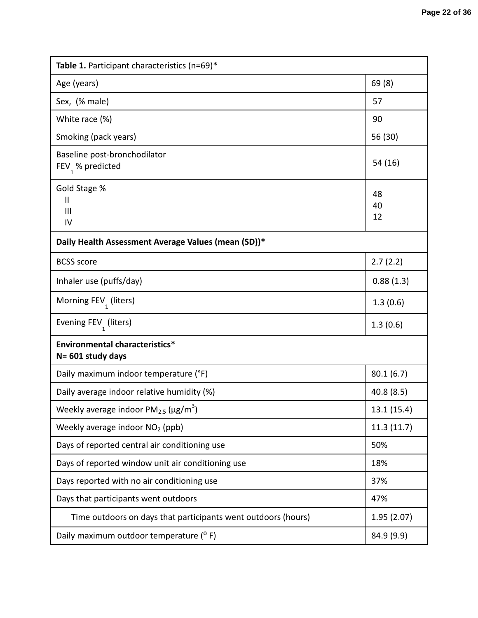| <b>Table 1.</b> Participant characteristics (n=69)*           |                |  |  |  |  |  |
|---------------------------------------------------------------|----------------|--|--|--|--|--|
| Age (years)                                                   | 69(8)          |  |  |  |  |  |
| Sex, (% male)                                                 | 57             |  |  |  |  |  |
| White race (%)                                                | 90             |  |  |  |  |  |
| Smoking (pack years)                                          | 56 (30)        |  |  |  |  |  |
| Baseline post-bronchodilator<br>FEV $_1$ % predicted          | 54 (16)        |  |  |  |  |  |
| Gold Stage %<br>$\mathbf{H}$<br>Ш<br>IV                       | 48<br>40<br>12 |  |  |  |  |  |
| Daily Health Assessment Average Values (mean (SD))*           |                |  |  |  |  |  |
| <b>BCSS</b> score                                             | 2.7(2.2)       |  |  |  |  |  |
| Inhaler use (puffs/day)                                       | 0.88(1.3)      |  |  |  |  |  |
| Morning FEV <sub>1</sub> (liters)                             | 1.3(0.6)       |  |  |  |  |  |
| Evening FEV <sub>1</sub> (liters)                             | 1.3(0.6)       |  |  |  |  |  |
| Environmental characteristics*<br>N= 601 study days           |                |  |  |  |  |  |
| Daily maximum indoor temperature (°F)                         | 80.1(6.7)      |  |  |  |  |  |
| Daily average indoor relative humidity (%)                    | 40.8(8.5)      |  |  |  |  |  |
| Weekly average indoor $PM_{2.5}$ ( $\mu$ g/m <sup>3</sup> )   | 13.1(15.4)     |  |  |  |  |  |
| Weekly average indoor NO <sub>2</sub> (ppb)                   | 11.3(11.7)     |  |  |  |  |  |
| Days of reported central air conditioning use                 | 50%            |  |  |  |  |  |
| Days of reported window unit air conditioning use             | 18%            |  |  |  |  |  |
| Days reported with no air conditioning use                    | 37%            |  |  |  |  |  |
| Days that participants went outdoors                          | 47%            |  |  |  |  |  |
| Time outdoors on days that participants went outdoors (hours) | 1.95(2.07)     |  |  |  |  |  |
| Daily maximum outdoor temperature (° F)                       | 84.9 (9.9)     |  |  |  |  |  |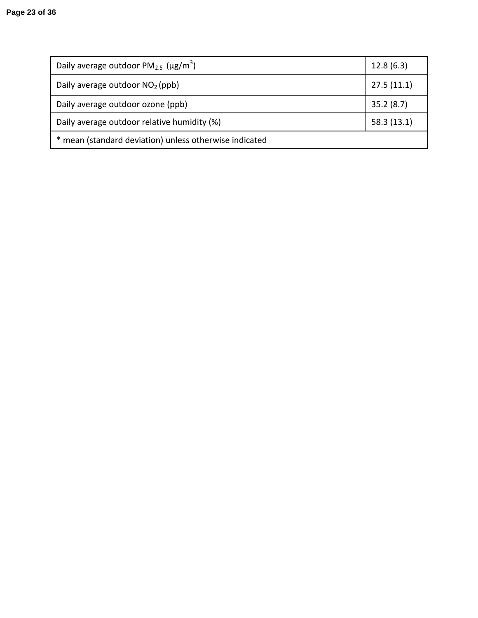| Daily average outdoor $PM_{2.5}$ ( $\mu$ g/m <sup>3</sup> ) | 12.8(6.3)  |  |  |  |
|-------------------------------------------------------------|------------|--|--|--|
| Daily average outdoor $NO2$ (ppb)                           | 27.5(11.1) |  |  |  |
| Daily average outdoor ozone (ppb)                           | 35.2(8.7)  |  |  |  |
| Daily average outdoor relative humidity (%)                 | 58.3(13.1) |  |  |  |
| mean (standard deviation) unless otherwise indicated        |            |  |  |  |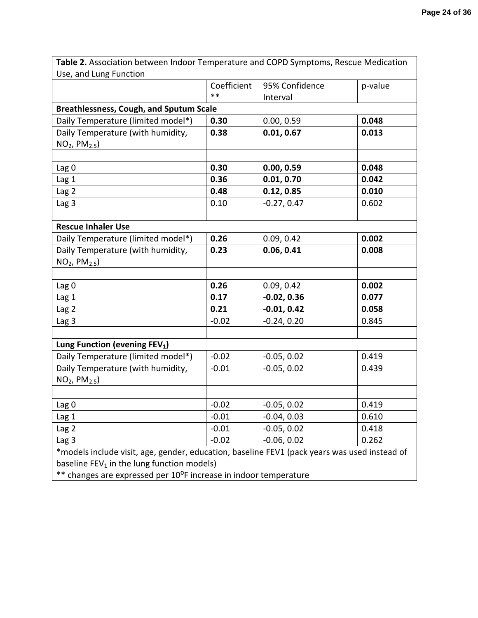| <b>Table 2.</b> Association between Indoor Temperature and COPD Symptoms, Rescue Medication |             |                |         |
|---------------------------------------------------------------------------------------------|-------------|----------------|---------|
| Use, and Lung Function                                                                      |             |                |         |
|                                                                                             | Coefficient | 95% Confidence | p-value |
|                                                                                             | $**$        | Interval       |         |
| <b>Breathlessness, Cough, and Sputum Scale</b>                                              |             |                |         |
| Daily Temperature (limited model*)                                                          | 0.30        | 0.00, 0.59     | 0.048   |
| Daily Temperature (with humidity,                                                           | 0.38        | 0.01, 0.67     | 0.013   |
| $NO2$ , $PM2.5$ )                                                                           |             |                |         |
|                                                                                             |             |                |         |
| Lag <sub>0</sub>                                                                            | 0.30        | 0.00, 0.59     | 0.048   |
| Lag <sub>1</sub>                                                                            | 0.36        | 0.01, 0.70     | 0.042   |
| Lag 2                                                                                       | 0.48        | 0.12, 0.85     | 0.010   |
| Lag 3                                                                                       | 0.10        | $-0.27, 0.47$  | 0.602   |
|                                                                                             |             |                |         |
| <b>Rescue Inhaler Use</b>                                                                   |             |                |         |
| Daily Temperature (limited model*)                                                          | 0.26        | 0.09, 0.42     | 0.002   |
| Daily Temperature (with humidity,                                                           | 0.23        | 0.06, 0.41     | 0.008   |
| $NO2$ , $PM2.5$ )                                                                           |             |                |         |
|                                                                                             |             |                |         |
| Lag <sub>0</sub>                                                                            | 0.26        | 0.09, 0.42     | 0.002   |
| Lag <sub>1</sub>                                                                            | 0.17        | $-0.02, 0.36$  | 0.077   |
| Lag 2                                                                                       | 0.21        | $-0.01, 0.42$  | 0.058   |
| Lag <sub>3</sub>                                                                            | $-0.02$     | $-0.24, 0.20$  | 0.845   |
|                                                                                             |             |                |         |
| Lung Function (evening FEV <sub>1</sub> )                                                   |             |                |         |
| Daily Temperature (limited model*)                                                          | $-0.02$     | $-0.05, 0.02$  | 0.419   |
| Daily Temperature (with humidity,                                                           | $-0.01$     | $-0.05, 0.02$  | 0.439   |
| $NO2$ , $PM2.5$ )                                                                           |             |                |         |
|                                                                                             |             |                |         |
| Lag <sub>0</sub>                                                                            | $-0.02$     | $-0.05, 0.02$  | 0.419   |
| Lag 1                                                                                       | $-0.01$     | $-0.04, 0.03$  | 0.610   |
| Lag 2                                                                                       | $-0.01$     | $-0.05, 0.02$  | 0.418   |
| Lag <sub>3</sub>                                                                            | $-0.02$     | $-0.06, 0.02$  | 0.262   |

**Table 2.** Association between Indoor Temperature and COPD Symptoms, Rescue Medication  $U$ se

\*models include visit, age, gender, education, baseline FEV1 (pack years was used instead of baseline  $FEV_1$  in the lung function models)

Lag 3  $-0.02$   $-0.06, 0.02$  0.262

\*\* changes are expressed per 10°F increase in indoor temperature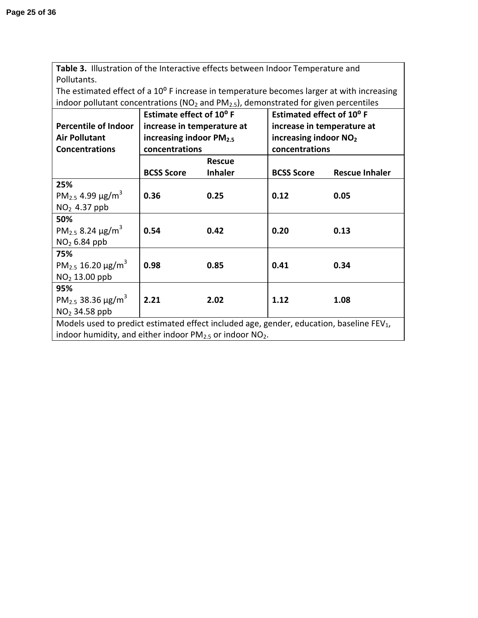**Table 3.** Illustration of the Interactive effects between Indoor Temperature and Pollutants.

The estimated effect of a 10° F increase in temperature becomes larger at with increasing indoor pollutant concentrations ( $NO<sub>2</sub>$  and  $PM<sub>2.5</sub>$ ), demonstrated for given percentiles

|                                                                                                      | Estimate effect of 10°F    |                | Estimated effect of 10°F          |                       |  |
|------------------------------------------------------------------------------------------------------|----------------------------|----------------|-----------------------------------|-----------------------|--|
| <b>Percentile of Indoor</b>                                                                          | increase in temperature at |                | increase in temperature at        |                       |  |
| <b>Air Pollutant</b>                                                                                 | increasing indoor $PM2.5$  |                | increasing indoor NO <sub>2</sub> |                       |  |
| <b>Concentrations</b>                                                                                | concentrations             |                |                                   | concentrations        |  |
|                                                                                                      |                            | <b>Rescue</b>  |                                   |                       |  |
|                                                                                                      | <b>BCSS Score</b>          | <b>Inhaler</b> | <b>BCSS Score</b>                 | <b>Rescue Inhaler</b> |  |
| 25%                                                                                                  |                            |                |                                   |                       |  |
| PM <sub>2.5</sub> 4.99 $\mu$ g/m <sup>3</sup>                                                        | 0.36                       | 0.25           | 0.12                              | 0.05                  |  |
| $NO2$ 4.37 ppb                                                                                       |                            |                |                                   |                       |  |
| 50%                                                                                                  |                            |                |                                   |                       |  |
| PM <sub>2.5</sub> 8.24 $\mu$ g/m <sup>3</sup>                                                        | 0.54                       | 0.42           | 0.20                              | 0.13                  |  |
| $NO2 6.84$ ppb                                                                                       |                            |                |                                   |                       |  |
| 75%                                                                                                  |                            |                |                                   |                       |  |
| PM <sub>2.5</sub> 16.20 $\mu$ g/m <sup>3</sup>                                                       | 0.98                       | 0.85           | 0.41                              | 0.34                  |  |
| $NO2 13.00$ ppb                                                                                      |                            |                |                                   |                       |  |
| 95%                                                                                                  |                            |                |                                   |                       |  |
| PM <sub>2.5</sub> 38.36 $\mu$ g/m <sup>3</sup>                                                       | 2.21                       | 2.02           | 1.12                              | 1.08                  |  |
| $NO2$ 34.58 ppb                                                                                      |                            |                |                                   |                       |  |
| Models used to predict estimated effect included age, gender, education, baseline FEV <sub>1</sub> , |                            |                |                                   |                       |  |
| indoor humidity, and either indoor $PM2.5$ or indoor $NO2$ .                                         |                            |                |                                   |                       |  |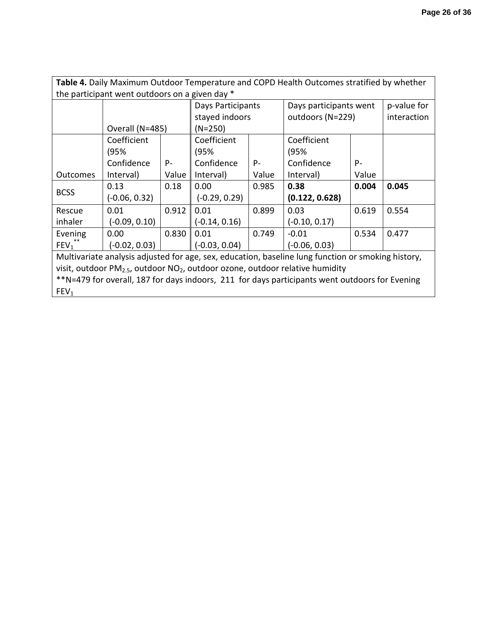| Table 4. Daily Maximum Outdoor Temperature and COPD Health Outcomes stratified by whether          |                                                |       |                   |       |                        |       |             |
|----------------------------------------------------------------------------------------------------|------------------------------------------------|-------|-------------------|-------|------------------------|-------|-------------|
|                                                                                                    | the participant went outdoors on a given day * |       |                   |       |                        |       |             |
|                                                                                                    |                                                |       | Days Participants |       | Days participants went |       | p-value for |
|                                                                                                    |                                                |       | stayed indoors    |       | outdoors (N=229)       |       | interaction |
|                                                                                                    | Overall (N=485)                                |       | $(N=250)$         |       |                        |       |             |
|                                                                                                    | Coefficient                                    |       | Coefficient       |       | Coefficient            |       |             |
|                                                                                                    | (95%                                           |       | (95%              |       | (95%                   |       |             |
|                                                                                                    | Confidence                                     | $P -$ | Confidence        | P-    | Confidence             | $P -$ |             |
| Outcomes                                                                                           | Interval)                                      | Value | Interval)         | Value | Interval)              | Value |             |
|                                                                                                    | 0.13                                           | 0.18  | 0.00              | 0.985 | 0.38                   | 0.004 | 0.045       |
| <b>BCSS</b>                                                                                        | $(-0.06, 0.32)$                                |       | $(-0.29, 0.29)$   |       | (0.122, 0.628)         |       |             |
| Rescue                                                                                             | 0.01                                           | 0.912 | 0.01              | 0.899 | 0.03                   | 0.619 | 0.554       |
| inhaler                                                                                            | $(-0.09, 0.10)$                                |       | $(-0.14, 0.16)$   |       | $(-0.10, 0.17)$        |       |             |
| Evening                                                                                            | 0.00                                           | 0.830 | 0.01              | 0.749 | $-0.01$                | 0.534 | 0.477       |
| $FEV_1$                                                                                            | $(-0.02, 0.03)$                                |       | $(-0.03, 0.04)$   |       | $(-0.06, 0.03)$        |       |             |
| Multivariate analysis adjusted for age, sex, education, baseline lung function or smoking history, |                                                |       |                   |       |                        |       |             |
| visit, outdoor $PM_{2.5}$ , outdoor $NO2$ , outdoor ozone, outdoor relative humidity               |                                                |       |                   |       |                        |       |             |
| **N=479 for overall, 187 for days indoors, 211 for days participants went outdoors for Evening     |                                                |       |                   |       |                        |       |             |
| FEV <sub>1</sub>                                                                                   |                                                |       |                   |       |                        |       |             |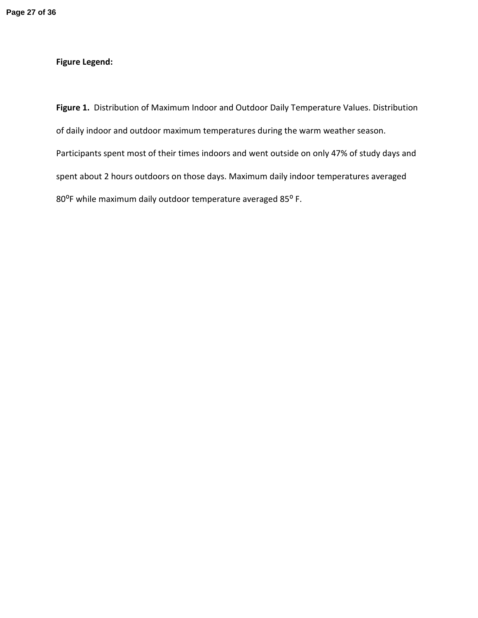# **Figure Legend:**

**Figure 1.** Distribution of Maximum Indoor and Outdoor Daily Temperature Values. Distribution of daily indoor and outdoor maximum temperatures during the warm weather season. Participants spent most of their times indoors and went outside on only 47% of study days and spent about 2 hours outdoors on those days. Maximum daily indoor temperatures averaged 80°F while maximum daily outdoor temperature averaged 85°F.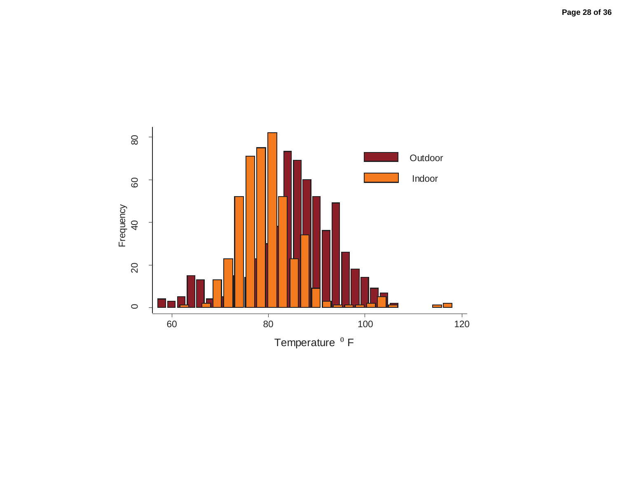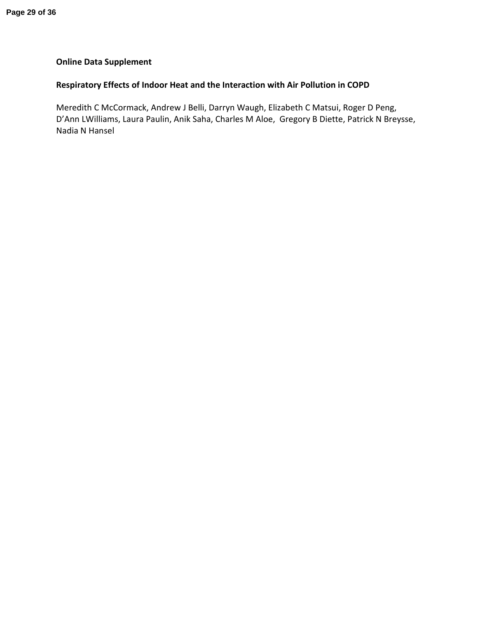# **Online Data Supplement**

# **Respiratory Effects of Indoor Heat and the Interaction with Air Pollution in COPD**

Meredith C McCormack, Andrew J Belli, Darryn Waugh, Elizabeth C Matsui, Roger D Peng, D'Ann LWilliams, Laura Paulin, Anik Saha, Charles M Aloe, Gregory B Diette, Patrick N Breysse, Nadia N Hansel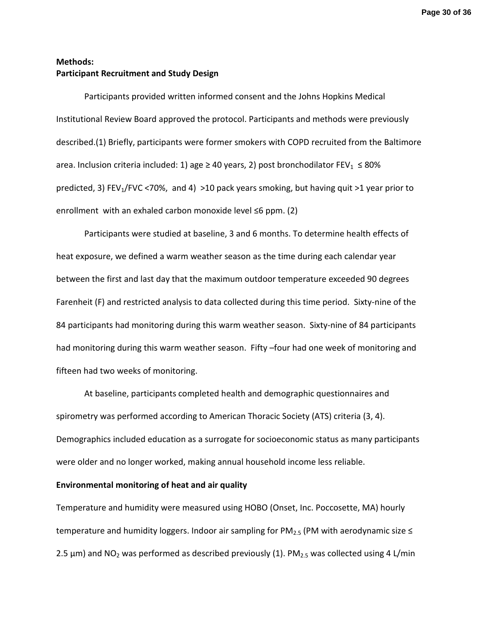**Page 30 of 36**

# **Methods: Participant Recruitment and Study Design**

Participants provided written informed consent and the Johns Hopkins Medical Institutional Review Board approved the protocol. Participants and methods were previously described.(1) Briefly, participants were former smokers with COPD recruited from the Baltimore area. Inclusion criteria included: 1) age ≥ 40 years, 2) post bronchodilator FEV<sub>1</sub>  $\leq$  80% predicted, 3) FEV<sub>1</sub>/FVC <70%, and 4) >10 pack years smoking, but having quit >1 year prior to enrollment with an exhaled carbon monoxide level ≤6 ppm. (2)

Participants were studied at baseline, 3 and 6 months. To determine health effects of heat exposure, we defined a warm weather season as the time during each calendar year between the first and last day that the maximum outdoor temperature exceeded 90 degrees Farenheit (F) and restricted analysis to data collected during this time period. Sixty-nine of the 84 participants had monitoring during this warm weather season. Sixty-nine of 84 participants had monitoring during this warm weather season. Fifty –four had one week of monitoring and fifteen had two weeks of monitoring.

At baseline, participants completed health and demographic questionnaires and spirometry was performed according to American Thoracic Society (ATS) criteria (3, 4). Demographics included education as a surrogate for socioeconomic status as many participants were older and no longer worked, making annual household income less reliable.

# **Environmental monitoring of heat and air quality**

Temperature and humidity were measured using HOBO (Onset, Inc. Poccosette, MA) hourly temperature and humidity loggers. Indoor air sampling for PM<sub>2.5</sub> (PM with aerodynamic size  $\leq$ 2.5  $\mu$ m) and NO<sub>2</sub> was performed as described previously (1). PM<sub>2.5</sub> was collected using 4 L/min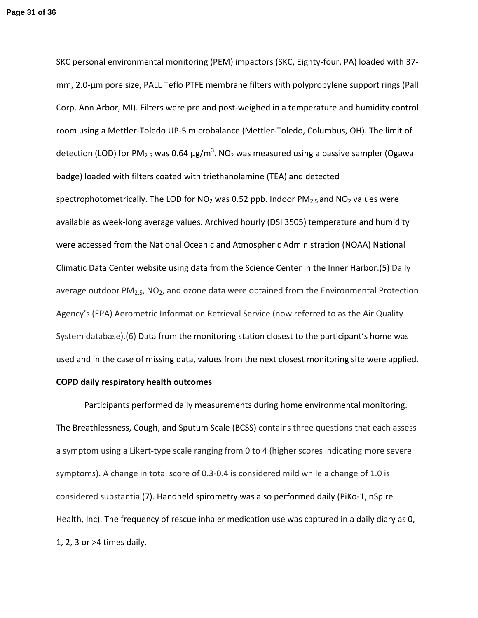SKC personal environmental monitoring (PEM) impactors (SKC, Eighty-four, PA) loaded with 37 mm, 2.0-μm pore size, PALL Teflo PTFE membrane filters with polypropylene support rings (Pall Corp. Ann Arbor, MI). Filters were pre and post-weighed in a temperature and humidity control room using a Mettler-Toledo UP-5 microbalance (Mettler-Toledo, Columbus, OH). The limit of detection (LOD) for PM<sub>2.5</sub> was 0.64 μg/m<sup>3</sup>. NO<sub>2</sub> was measured using a passive sampler (Ogawa badge) loaded with filters coated with triethanolamine (TEA) and detected spectrophotometrically. The LOD for  $NO<sub>2</sub>$  was 0.52 ppb. Indoor  $PM<sub>2.5</sub>$  and  $NO<sub>2</sub>$  values were available as week-long average values. Archived hourly (DSI 3505) temperature and humidity were accessed from the National Oceanic and Atmospheric Administration (NOAA) National Climatic Data Center website using data from the Science Center in the Inner Harbor.(5) Daily average outdoor  $PM<sub>2.5</sub>$ , NO<sub>2</sub>, and ozone data were obtained from the Environmental Protection Agency's (EPA) Aerometric Information Retrieval Service (now referred to as the Air Quality System database).(6) Data from the monitoring station closest to the participant's home was used and in the case of missing data, values from the next closest monitoring site were applied.

### **COPD daily respiratory health outcomes**

Participants performed daily measurements during home environmental monitoring. The Breathlessness, Cough, and Sputum Scale (BCSS) contains three questions that each assess a symptom using a Likert-type scale ranging from 0 to 4 (higher scores indicating more severe symptoms). A change in total score of 0.3-0.4 is considered mild while a change of 1.0 is considered substantial(7). Handheld spirometry was also performed daily (PiKo-1, nSpire Health, Inc). The frequency of rescue inhaler medication use was captured in a daily diary as 0, 1, 2, 3 or >4 times daily.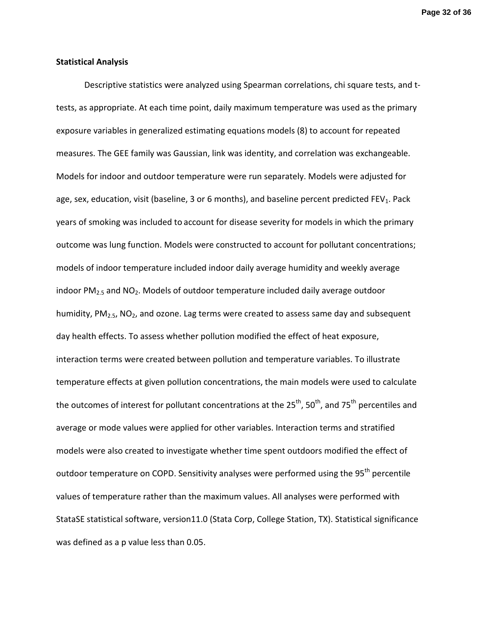#### **Statistical Analysis**

Descriptive statistics were analyzed using Spearman correlations, chi square tests, and ttests, as appropriate. At each time point, daily maximum temperature was used as the primary exposure variables in generalized estimating equations models (8) to account for repeated measures. The GEE family was Gaussian, link was identity, and correlation was exchangeable. Models for indoor and outdoor temperature were run separately. Models were adjusted for age, sex, education, visit (baseline, 3 or 6 months), and baseline percent predicted FEV<sub>1</sub>. Pack years of smoking was included to account for disease severity for models in which the primary outcome was lung function. Models were constructed to account for pollutant concentrations; models of indoor temperature included indoor daily average humidity and weekly average indoor  $PM_{2.5}$  and  $NO<sub>2</sub>$ . Models of outdoor temperature included daily average outdoor humidity,  $PM<sub>2.5</sub>$ , NO<sub>2</sub>, and ozone. Lag terms were created to assess same day and subsequent day health effects. To assess whether pollution modified the effect of heat exposure, interaction terms were created between pollution and temperature variables. To illustrate temperature effects at given pollution concentrations, the main models were used to calculate the outcomes of interest for pollutant concentrations at the  $25<sup>th</sup>$ , 50<sup>th</sup>, and 75<sup>th</sup> percentiles and average or mode values were applied for other variables. Interaction terms and stratified models were also created to investigate whether time spent outdoors modified the effect of outdoor temperature on COPD. Sensitivity analyses were performed using the 95<sup>th</sup> percentile values of temperature rather than the maximum values. All analyses were performed with StataSE statistical software, version11.0 (Stata Corp, College Station, TX). Statistical significance was defined as a p value less than 0.05.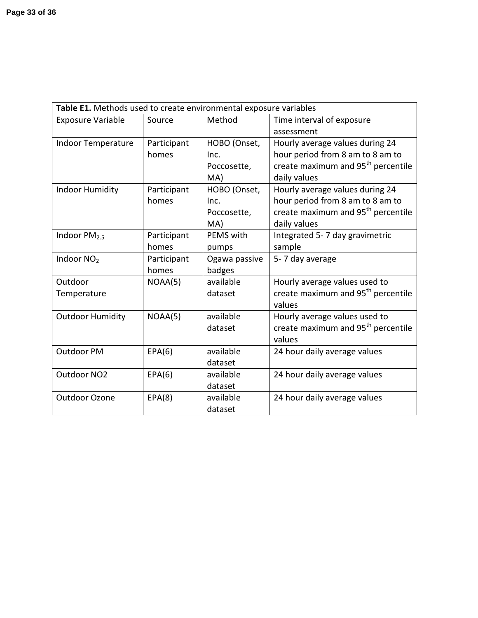| Table E1. Methods used to create environmental exposure variables |             |               |                                                |  |  |  |
|-------------------------------------------------------------------|-------------|---------------|------------------------------------------------|--|--|--|
| <b>Exposure Variable</b>                                          | Source      | Method        | Time interval of exposure                      |  |  |  |
|                                                                   |             |               | assessment                                     |  |  |  |
| <b>Indoor Temperature</b>                                         | Participant | HOBO (Onset,  | Hourly average values during 24                |  |  |  |
|                                                                   | homes       | Inc.          | hour period from 8 am to 8 am to               |  |  |  |
|                                                                   |             | Poccosette,   | create maximum and 95 <sup>th</sup> percentile |  |  |  |
|                                                                   |             | MA)           | daily values                                   |  |  |  |
| <b>Indoor Humidity</b>                                            | Participant | HOBO (Onset,  | Hourly average values during 24                |  |  |  |
|                                                                   | homes       | Inc.          | hour period from 8 am to 8 am to               |  |  |  |
|                                                                   |             | Poccosette,   | create maximum and 95 <sup>th</sup> percentile |  |  |  |
|                                                                   |             | MA)           | daily values                                   |  |  |  |
| Indoor $PM2.5$                                                    | Participant | PEMS with     | Integrated 5-7 day gravimetric                 |  |  |  |
|                                                                   | homes       | pumps         | sample                                         |  |  |  |
| Indoor NO <sub>2</sub>                                            | Participant | Ogawa passive | 5-7 day average                                |  |  |  |
|                                                                   | homes       | badges        |                                                |  |  |  |
| Outdoor                                                           | NOAA(5)     | available     | Hourly average values used to                  |  |  |  |
| Temperature                                                       |             | dataset       | create maximum and 95 <sup>th</sup> percentile |  |  |  |
|                                                                   |             |               | values                                         |  |  |  |
| <b>Outdoor Humidity</b>                                           | NOAA(5)     | available     | Hourly average values used to                  |  |  |  |
|                                                                   |             | dataset       | create maximum and 95 <sup>th</sup> percentile |  |  |  |
|                                                                   |             |               | values                                         |  |  |  |
| Outdoor PM                                                        | EPA(6)      | available     | 24 hour daily average values                   |  |  |  |
|                                                                   |             | dataset       |                                                |  |  |  |
| Outdoor NO <sub>2</sub>                                           | EPA(6)      | available     | 24 hour daily average values                   |  |  |  |
|                                                                   |             | dataset       |                                                |  |  |  |
| <b>Outdoor Ozone</b>                                              | EPA(8)      | available     | 24 hour daily average values                   |  |  |  |
|                                                                   |             | dataset       |                                                |  |  |  |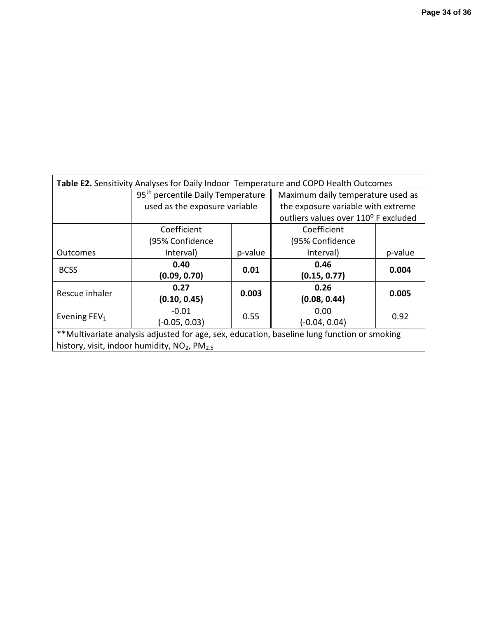| Table E2. Sensitivity Analyses for Daily Indoor Temperature and COPD Health Outcomes        |                                               |         |                                      |         |  |  |
|---------------------------------------------------------------------------------------------|-----------------------------------------------|---------|--------------------------------------|---------|--|--|
|                                                                                             | 95 <sup>th</sup> percentile Daily Temperature |         | Maximum daily temperature used as    |         |  |  |
|                                                                                             | used as the exposure variable                 |         | the exposure variable with extreme   |         |  |  |
|                                                                                             |                                               |         | outliers values over 110° F excluded |         |  |  |
|                                                                                             | Coefficient                                   |         | Coefficient                          |         |  |  |
|                                                                                             | (95% Confidence                               |         | (95% Confidence                      |         |  |  |
| <b>Outcomes</b>                                                                             | Interval)                                     | p-value | Interval)                            | p-value |  |  |
| <b>BCSS</b>                                                                                 | 0.40                                          | 0.01    | 0.46                                 | 0.004   |  |  |
|                                                                                             | (0.09, 0.70)                                  |         | (0.15, 0.77)                         |         |  |  |
| Rescue inhaler                                                                              | 0.27                                          | 0.003   | 0.26                                 | 0.005   |  |  |
|                                                                                             | (0.10, 0.45)                                  |         | (0.08, 0.44)                         |         |  |  |
| Evening $FEV1$                                                                              | $-0.01$                                       | 0.55    | 0.00                                 | 0.92    |  |  |
|                                                                                             | $(-0.05, 0.03)$                               |         | (-0.04, 0.04)                        |         |  |  |
| **Multivariate analysis adjusted for age, sex, education, baseline lung function or smoking |                                               |         |                                      |         |  |  |
| history, visit, indoor humidity, NO <sub>2</sub> , PM <sub>2.5</sub>                        |                                               |         |                                      |         |  |  |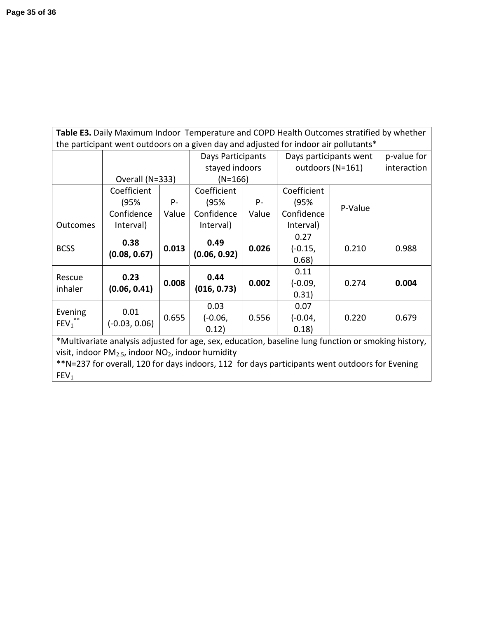| Table E3. Daily Maximum Indoor Temperature and COPD Health Outcomes stratified by whether           |                                                                                      |       |                   |       |                        |         |             |
|-----------------------------------------------------------------------------------------------------|--------------------------------------------------------------------------------------|-------|-------------------|-------|------------------------|---------|-------------|
|                                                                                                     | the participant went outdoors on a given day and adjusted for indoor air pollutants* |       |                   |       |                        |         |             |
|                                                                                                     |                                                                                      |       | Days Participants |       | Days participants went |         | p-value for |
|                                                                                                     |                                                                                      |       | stayed indoors    |       | outdoors (N=161)       |         | interaction |
|                                                                                                     | Overall (N=333)                                                                      |       | $(N=166)$         |       |                        |         |             |
|                                                                                                     | Coefficient                                                                          |       | Coefficient       |       | Coefficient            |         |             |
|                                                                                                     | (95%                                                                                 | $P -$ | (95%              | $P -$ | (95%                   | P-Value |             |
|                                                                                                     | Confidence                                                                           | Value | Confidence        | Value | Confidence             |         |             |
| <b>Outcomes</b>                                                                                     | Interval)                                                                            |       | Interval)         |       | Interval)              |         |             |
|                                                                                                     |                                                                                      |       | 0.49              |       | 0.27                   |         |             |
| <b>BCSS</b>                                                                                         | 0.38<br>(0.08, 0.67)                                                                 | 0.013 |                   | 0.026 | $(-0.15,$              | 0.210   | 0.988       |
|                                                                                                     |                                                                                      |       | (0.06, 0.92)      |       | 0.68)                  |         |             |
| Rescue                                                                                              | 0.23                                                                                 |       | 0.44              |       | 0.11                   |         |             |
| inhaler                                                                                             | (0.06, 0.41)                                                                         | 0.008 | (016, 0.73)       | 0.002 | $(-0.09,$              | 0.274   | 0.004       |
|                                                                                                     |                                                                                      |       |                   |       | 0.31)                  |         |             |
| Evening                                                                                             | 0.01                                                                                 |       | 0.03              |       | 0.07                   |         |             |
| $FEV_1$ <sup>**</sup>                                                                               | $(-0.03, 0.06)$                                                                      | 0.655 | $(-0.06,$         | 0.556 | $(-0.04,$              | 0.220   | 0.679       |
|                                                                                                     |                                                                                      |       | 0.12)             |       | 0.18)                  |         |             |
| *Multivariate analysis adjusted for age, sex, education, baseline lung function or smoking history, |                                                                                      |       |                   |       |                        |         |             |
| visit, indoor $PM_{2.5}$ , indoor $NO2$ , indoor humidity                                           |                                                                                      |       |                   |       |                        |         |             |
| **N=237 for overall, 120 for days indoors, 112 for days participants went outdoors for Evening      |                                                                                      |       |                   |       |                        |         |             |
| FEV <sub>1</sub>                                                                                    |                                                                                      |       |                   |       |                        |         |             |